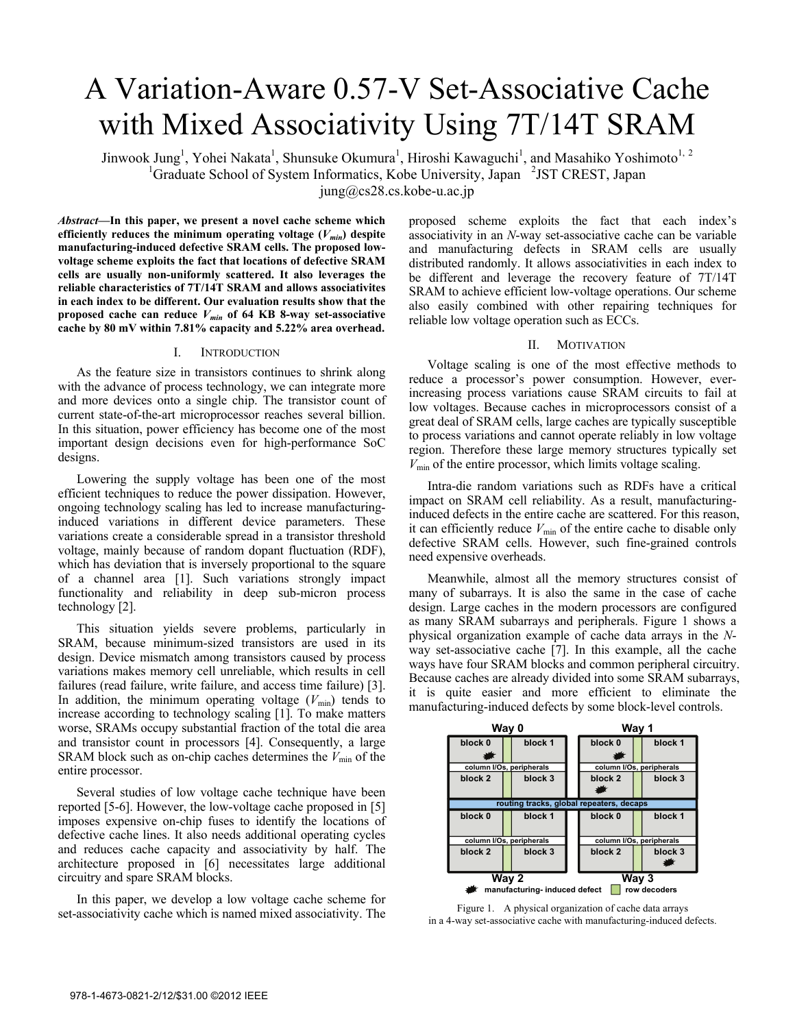# A Variation-Aware 0.57-V Set-Associative Cache with Mixed Associativity Using 7T/14T SRAM

Jinwook Jung<sup>1</sup>, Yohei Nakata<sup>1</sup>, Shunsuke Okumura<sup>1</sup>, Hiroshi Kawaguchi<sup>1</sup>, and Masahiko Yoshimoto<sup>1, 2</sup> <sup>1</sup>Graduate School of System Informatics, Kobe University, Japan <sup>2</sup>JST CREST, Japan

 $jung@cs28.cs.kobe-u.ac.jp$ 

*Abstract***—In this paper, we present a novel cache scheme which**  efficiently reduces the minimum operating voltage  $(V_{min})$  despite **manufacturing-induced defective SRAM cells. The proposed lowvoltage scheme exploits the fact that locations of defective SRAM cells are usually non-uniformly scattered. It also leverages the reliable characteristics of 7T/14T SRAM and allows associativites in each index to be different. Our evaluation results show that the**  proposed cache can reduce  $V_{min}$  of 64 KB 8-way set-associative **cache by 80 mV within 7.81% capacity and 5.22% area overhead.** 

# I. INTRODUCTION

As the feature size in transistors continues to shrink along with the advance of process technology, we can integrate more and more devices onto a single chip. The transistor count of current state-of-the-art microprocessor reaches several billion. In this situation, power efficiency has become one of the most important design decisions even for high-performance SoC designs.

Lowering the supply voltage has been one of the most efficient techniques to reduce the power dissipation. However, ongoing technology scaling has led to increase manufacturinginduced variations in different device parameters. These variations create a considerable spread in a transistor threshold voltage, mainly because of random dopant fluctuation (RDF), which has deviation that is inversely proportional to the square of a channel area [1]. Such variations strongly impact functionality and reliability in deep sub-micron process technology [2].

This situation yields severe problems, particularly in SRAM, because minimum-sized transistors are used in its design. Device mismatch among transistors caused by process variations makes memory cell unreliable, which results in cell failures (read failure, write failure, and access time failure) [3]. In addition, the minimum operating voltage  $(V_{\text{min}})$  tends to increase according to technology scaling [1]. To make matters worse, SRAMs occupy substantial fraction of the total die area and transistor count in processors [4]. Consequently, a large SRAM block such as on-chip caches determines the  $V_{\text{min}}$  of the entire processor.

Several studies of low voltage cache technique have been reported [5-6]. However, the low-voltage cache proposed in [5] imposes expensive on-chip fuses to identify the locations of defective cache lines. It also needs additional operating cycles and reduces cache capacity and associativity by half. The architecture proposed in [6] necessitates large additional circuitry and spare SRAM blocks.

In this paper, we develop a low voltage cache scheme for set-associativity cache which is named mixed associativity. The proposed scheme exploits the fact that each index's associativity in an *N*-way set-associative cache can be variable and manufacturing defects in SRAM cells are usually distributed randomly. It allows associativities in each index to be different and leverage the recovery feature of 7T/14T SRAM to achieve efficient low-voltage operations. Our scheme also easily combined with other repairing techniques for reliable low voltage operation such as ECCs.

# II. MOTIVATION

Voltage scaling is one of the most effective methods to reduce a processor's power consumption. However, everincreasing process variations cause SRAM circuits to fail at low voltages. Because caches in microprocessors consist of a great deal of SRAM cells, large caches are typically susceptible to process variations and cannot operate reliably in low voltage region. Therefore these large memory structures typically set  $V_{\text{min}}$  of the entire processor, which limits voltage scaling.

Intra-die random variations such as RDFs have a critical impact on SRAM cell reliability. As a result, manufacturinginduced defects in the entire cache are scattered. For this reason, it can efficiently reduce  $V_{\text{min}}$  of the entire cache to disable only defective SRAM cells. However, such fine-grained controls need expensive overheads.

Meanwhile, almost all the memory structures consist of many of subarrays. It is also the same in the case of cache design. Large caches in the modern processors are configured as many SRAM subarrays and peripherals. Figure 1 shows a physical organization example of cache data arrays in the *N*way set-associative cache [7]. In this example, all the cache ways have four SRAM blocks and common peripheral circuitry. Because caches are already divided into some SRAM subarrays, it is quite easier and more efficient to eliminate the manufacturing-induced defects by some block-level controls.



Figure 1. A physical organization of cache data arrays in a 4-way set-associative cache with manufacturing-induced defects.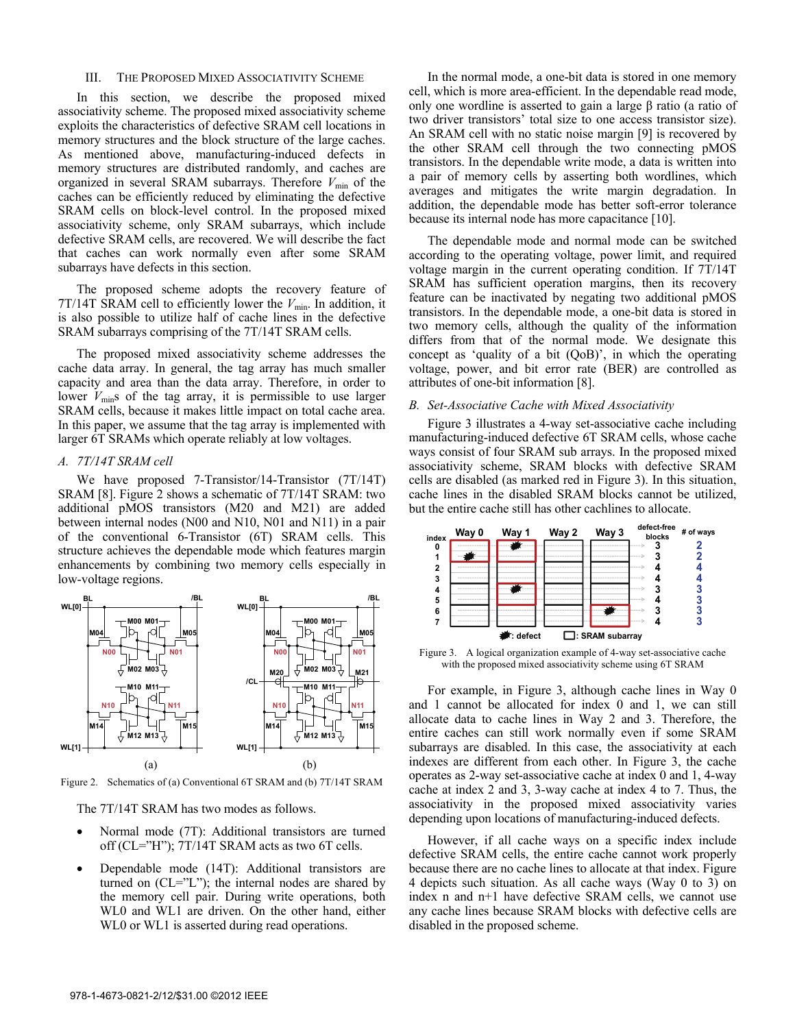# III. THE PROPOSED MIXED ASSOCIATIVITY SCHEME

In this section, we describe the proposed mixed associativity scheme. The proposed mixed associativity scheme exploits the characteristics of defective SRAM cell locations in memory structures and the block structure of the large caches. As mentioned above, manufacturing-induced defects in memory structures are distributed randomly, and caches are organized in several SRAM subarrays. Therefore  $V_{\text{min}}$  of the caches can be efficiently reduced by eliminating the defective SRAM cells on block-level control. In the proposed mixed associativity scheme, only SRAM subarrays, which include defective SRAM cells, are recovered. We will describe the fact that caches can work normally even after some SRAM subarrays have defects in this section.

The proposed scheme adopts the recovery feature of  $7T/14T$  SRAM cell to efficiently lower the  $V_{min}$ . In addition, it is also possible to utilize half of cache lines in the defective SRAM subarrays comprising of the 7T/14T SRAM cells.

The proposed mixed associativity scheme addresses the cache data array. In general, the tag array has much smaller capacity and area than the data array. Therefore, in order to lower  $V_{\text{min}}$ s of the tag array, it is permissible to use larger SRAM cells, because it makes little impact on total cache area. In this paper, we assume that the tag array is implemented with larger 6T SRAMs which operate reliably at low voltages.

## *A. 7T/14T SRAM cell*

We have proposed 7-Transistor/14-Transistor (7T/14T) SRAM [8]. Figure 2 shows a schematic of 7T/14T SRAM: two additional pMOS transistors (M20 and M21) are added between internal nodes (N00 and N10, N01 and N11) in a pair of the conventional 6-Transistor (6T) SRAM cells. This structure achieves the dependable mode which features margin enhancements by combining two memory cells especially in low-voltage regions.



Figure 2. Schematics of (a) Conventional 6T SRAM and (b) 7T/14T SRAM

The 7T/14T SRAM has two modes as follows.

- Normal mode (7T): Additional transistors are turned off (CL="H"); 7T/14T SRAM acts as two 6T cells.
- Dependable mode (14T): Additional transistors are turned on  $(CL="')$ ; the internal nodes are shared by the memory cell pair. During write operations, both WL0 and WL1 are driven. On the other hand, either WL0 or WL1 is asserted during read operations.

In the normal mode, a one-bit data is stored in one memory cell, which is more area-efficient. In the dependable read mode, only one wordline is asserted to gain a large β ratio (a ratio of two driver transistors' total size to one access transistor size). An SRAM cell with no static noise margin [9] is recovered by the other SRAM cell through the two connecting pMOS transistors. In the dependable write mode, a data is written into a pair of memory cells by asserting both wordlines, which averages and mitigates the write margin degradation. In addition, the dependable mode has better soft-error tolerance because its internal node has more capacitance [10].

The dependable mode and normal mode can be switched according to the operating voltage, power limit, and required voltage margin in the current operating condition. If 7T/14T SRAM has sufficient operation margins, then its recovery feature can be inactivated by negating two additional pMOS transistors. In the dependable mode, a one-bit data is stored in two memory cells, although the quality of the information differs from that of the normal mode. We designate this concept as 'quality of a bit (QoB)', in which the operating voltage, power, and bit error rate (BER) are controlled as attributes of one-bit information [8].

## *B. Set-Associative Cache with Mixed Associativity*

Figure 3 illustrates a 4-way set-associative cache including manufacturing-induced defective 6T SRAM cells, whose cache ways consist of four SRAM sub arrays. In the proposed mixed associativity scheme, SRAM blocks with defective SRAM cells are disabled (as marked red in Figure 3). In this situation, cache lines in the disabled SRAM blocks cannot be utilized, but the entire cache still has other cachlines to allocate.



Figure 3. A logical organization example of 4-way set-associative cache with the proposed mixed associativity scheme using 6T SRAM

For example, in Figure 3, although cache lines in Way 0 and 1 cannot be allocated for index 0 and 1, we can still allocate data to cache lines in Way 2 and 3. Therefore, the entire caches can still work normally even if some SRAM subarrays are disabled. In this case, the associativity at each indexes are different from each other. In Figure 3, the cache operates as 2-way set-associative cache at index 0 and 1, 4-way cache at index 2 and 3, 3-way cache at index 4 to 7. Thus, the associativity in the proposed mixed associativity varies depending upon locations of manufacturing-induced defects.

However, if all cache ways on a specific index include defective SRAM cells, the entire cache cannot work properly because there are no cache lines to allocate at that index. Figure 4 depicts such situation. As all cache ways (Way 0 to 3) on index n and n+1 have defective SRAM cells, we cannot use any cache lines because SRAM blocks with defective cells are disabled in the proposed scheme.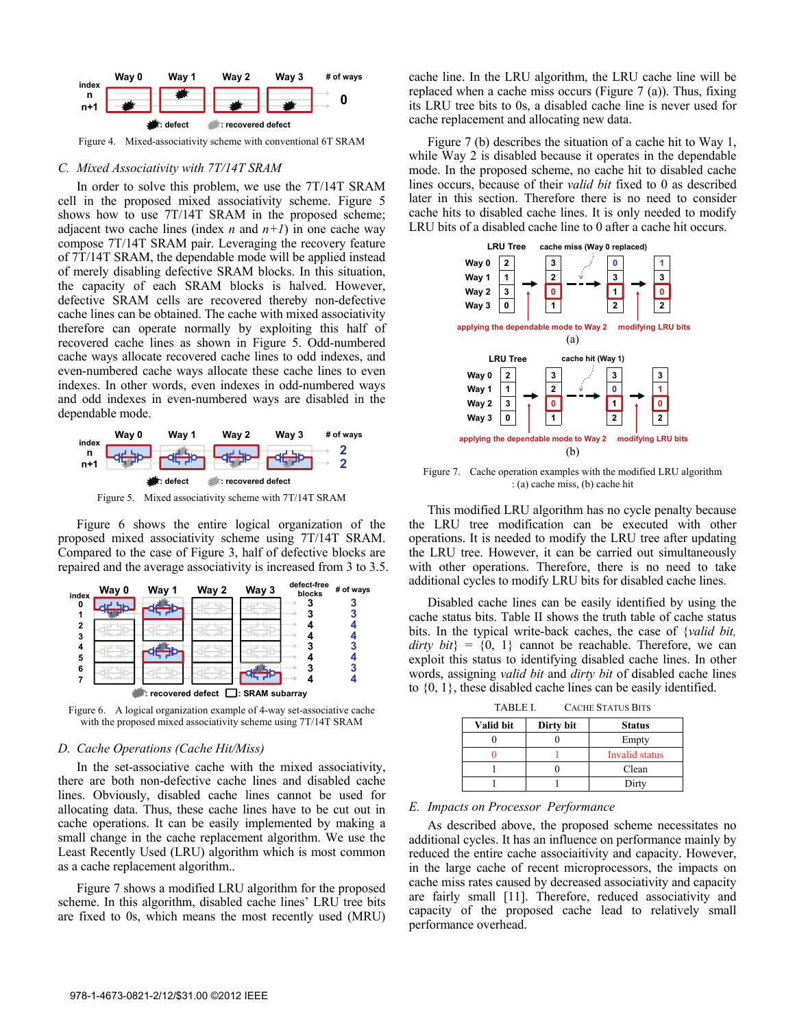

Figure 4. Mixed-associativity scheme with conventional 6T SRAM

#### *C. Mixed Associativity with 7T/14T SRAM*

In order to solve this problem, we use the 7T/14T SRAM cell in the proposed mixed associativity scheme. Figure 5 shows how to use 7T/14T SRAM in the proposed scheme; adjacent two cache lines (index *n* and  $n+1$ ) in one cache way compose 7T/14T SRAM pair. Leveraging the recovery feature of 7T/14T SRAM, the dependable mode will be applied instead of merely disabling defective SRAM blocks. In this situation, the capacity of each SRAM blocks is halved. However, defective SRAM cells are recovered thereby non-defective cache lines can be obtained. The cache with mixed associativity therefore can operate normally by exploiting this half of recovered cache lines as shown in Figure 5. Odd-numbered cache ways allocate recovered cache lines to odd indexes, and even-numbered cache ways allocate these cache lines to even indexes. In other words, even indexes in odd-numbered ways and odd indexes in even-numbered ways are disabled in the dependable mode.



Figure 5. Mixed associativity scheme with 7T/14T SRAM

Figure 6 shows the entire logical organization of the proposed mixed associativity scheme using 7T/14T SRAM. Compared to the case of Figure 3, half of defective blocks are repaired and the average associativity is increased from 3 to 3.5.



Figure 6. A logical organization example of 4-way set-associative cache with the proposed mixed associativity scheme using 7T/14T SRAM

# *D. Cache Operations (Cache Hit/Miss)*

In the set-associative cache with the mixed associativity, there are both non-defective cache lines and disabled cache lines. Obviously, disabled cache lines cannot be used for allocating data. Thus, these cache lines have to be cut out in cache operations. It can be easily implemented by making a small change in the cache replacement algorithm. We use the Least Recently Used (LRU) algorithm which is most common as a cache replacement algorithm..

Figure 7 shows a modified LRU algorithm for the proposed scheme. In this algorithm, disabled cache lines' LRU tree bits are fixed to 0s, which means the most recently used (MRU) cache line. In the LRU algorithm, the LRU cache line will be replaced when a cache miss occurs (Figure 7 (a)). Thus, fixing its LRU tree bits to 0s, a disabled cache line is never used for cache replacement and allocating new data.

Figure 7 (b) describes the situation of a cache hit to Way 1, while Way 2 is disabled because it operates in the dependable mode. In the proposed scheme, no cache hit to disabled cache lines occurs, because of their *valid bit* fixed to 0 as described later in this section. Therefore there is no need to consider cache hits to disabled cache lines. It is only needed to modify LRU bits of a disabled cache line to 0 after a cache hit occurs.



Figure 7. Cache operation examples with the modified LRU algorithm : (a) cache miss, (b) cache hit

This modified LRU algorithm has no cycle penalty because the LRU tree modification can be executed with other operations. It is needed to modify the LRU tree after updating the LRU tree. However, it can be carried out simultaneously with other operations. Therefore, there is no need to take additional cycles to modify LRU bits for disabled cache lines.

Disabled cache lines can be easily identified by using the cache status bits. Table II shows the truth table of cache status bits. In the typical write-back caches, the case of {*valid bit, dirty bit*} =  $\{0, 1\}$  cannot be reachable. Therefore, we can exploit this status to identifying disabled cache lines. In other words, assigning *valid bit* and *dirty bit* of disabled cache lines to {0, 1}, these disabled cache lines can be easily identified.

| .         |           |                |  |  |
|-----------|-----------|----------------|--|--|
| Valid bit | Dirty bit | <b>Status</b>  |  |  |
|           |           | Empty          |  |  |
|           |           | Invalid status |  |  |
|           |           | Clean          |  |  |
|           |           | Dirty          |  |  |

TABLE I. CACHE STATUS BITS

## *E. Impacts on Processor Performance*

As described above, the proposed scheme necessitates no additional cycles. It has an influence on performance mainly by reduced the entire cache associaitivity and capacity. However, in the large cache of recent microprocessors, the impacts on cache miss rates caused by decreased associativity and capacity are fairly small [11]. Therefore, reduced associativity and capacity of the proposed cache lead to relatively small performance overhead.